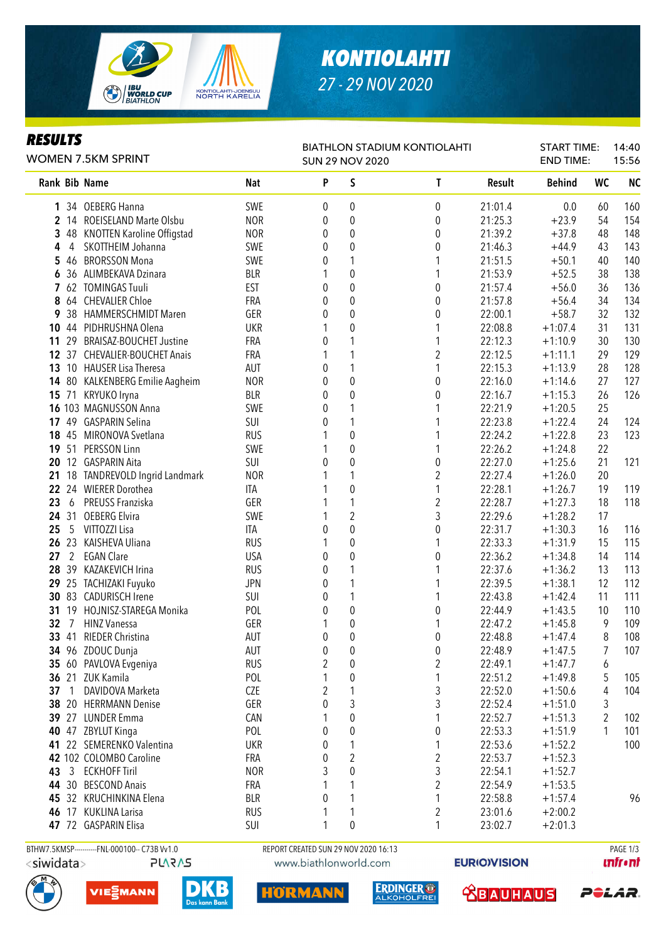

# *KONTIOLAHTI 27 - 29 NOV 2020*

### *RESULTS*

| <b>BIATHLON STADIUM KONTIOLAHTI</b> |  |  |  |
|-------------------------------------|--|--|--|

| <b>WOMEN 7.5KM SPRINT</b> |                | <b>SUN 29 NOV 2020</b>         |            |          |                         |                         | <b>END TIME:</b> |               | 15:56          |           |
|---------------------------|----------------|--------------------------------|------------|----------|-------------------------|-------------------------|------------------|---------------|----------------|-----------|
|                           |                | <b>Rank Bib Name</b>           | <b>Nat</b> | P        | S                       | T                       | Result           | <b>Behind</b> | <b>WC</b>      | <b>NC</b> |
| 1                         |                | 34 OEBERG Hanna                | SWE        | 0        | 0                       | $\pmb{0}$               | 21:01.4          | 0.0           | 60             | 160       |
| 2                         |                | 14 ROEISELAND Marte Olsbu      | <b>NOR</b> | 0        | $\pmb{0}$               | 0                       | 21:25.3          | $+23.9$       | 54             | 154       |
| 3                         |                | 48 KNOTTEN Karoline Offigstad  | <b>NOR</b> | 0        | $\pmb{0}$               | $\pmb{0}$               | 21:39.2          | $+37.8$       | 48             | 148       |
| 4                         | $\overline{4}$ | SKOTTHEIM Johanna              | SWE        | 0        | $\pmb{0}$               | $\pmb{0}$               | 21:46.3          | $+44.9$       | 43             | 143       |
| 5                         | 46             | <b>BRORSSON Mona</b>           | SWE        | 0        | 1                       | 1                       | 21:51.5          | $+50.1$       | 40             | 140       |
| 6                         |                | 36 ALIMBEKAVA Dzinara          | <b>BLR</b> |          | $\boldsymbol{0}$        | $\mathbf{1}$            | 21:53.9          | $+52.5$       | 38             | 138       |
| 7                         |                | 62 TOMINGAS Tuuli              | <b>EST</b> | 0        | $\boldsymbol{0}$        | $\pmb{0}$               | 21:57.4          | $+56.0$       | 36             | 136       |
| 8                         |                | 64 CHEVALIER Chloe             | FRA        | 0        | $\boldsymbol{0}$        | $\pmb{0}$               | 21:57.8          | $+56.4$       | 34             | 134       |
| 9                         | 38             | <b>HAMMERSCHMIDT Maren</b>     | GER        | 0        | $\boldsymbol{0}$        | 0                       | 22:00.1          | $+58.7$       | 32             | 132       |
| 10                        |                | 44 PIDHRUSHNA Olena            | <b>UKR</b> |          | $\boldsymbol{0}$        | 1                       | 22:08.8          | $+1:07.4$     | 31             | 131       |
| 11                        | 29             | <b>BRAISAZ-BOUCHET Justine</b> | FRA        | 0        | 1                       | $\mathbf{1}$            | 22:12.3          | $+1:10.9$     | 30             | 130       |
| 12                        |                | 37 CHEVALIER-BOUCHET Anais     | FRA        |          | 1                       | $\overline{c}$          | 22:12.5          | $+1:11.1$     | 29             | 129       |
| 13                        |                | 10 HAUSER Lisa Theresa         | AUT        | 0        | 1                       | $\mathbf{1}$            | 22:15.3          | $+1:13.9$     | 28             | 128       |
| 14                        |                | 80 KALKENBERG Emilie Aagheim   | <b>NOR</b> | 0        | $\boldsymbol{0}$        | $\pmb{0}$               | 22:16.0          | $+1:14.6$     | 27             | 127       |
| 15                        |                | 71 KRYUKO Iryna                | <b>BLR</b> | 0        | $\pmb{0}$               | 0                       | 22:16.7          | $+1:15.3$     | 26             | 126       |
|                           |                | 16 103 MAGNUSSON Anna          | SWE        | 0        | 1                       | 1                       | 22:21.9          | $+1:20.5$     | 25             |           |
| 17                        |                | 49 GASPARIN Selina             | SUI        | 0        | 1                       | 1                       | 22:23.8          | $+1:22.4$     | 24             | 124       |
| 18                        |                | 45 MIRONOVA Svetlana           | <b>RUS</b> |          | $\pmb{0}$               | 1                       | 22:24.2          | $+1:22.8$     | 23             | 123       |
| 19                        |                | 51 PERSSON Linn                | SWE        |          | $\pmb{0}$               | $\mathbf{1}$            | 22:26.2          | $+1:24.8$     | 22             |           |
| 20                        |                | 12 GASPARIN Aita               | SUI        | 0        | $\pmb{0}$               | $\pmb{0}$               | 22:27.0          | $+1:25.6$     | 21             | 121       |
| 21                        |                | 18 TANDREVOLD Ingrid Landmark  | <b>NOR</b> |          | 1                       | $\overline{c}$          | 22:27.4          | $+1:26.0$     | 20             |           |
| 22                        |                | 24 WIERER Dorothea             | ITA        |          | $\pmb{0}$               | $\mathbf{1}$            | 22:28.1          | $+1:26.7$     | 19             | 119       |
| 23                        | 6              | PREUSS Franziska               | GER        |          | 1                       | $\overline{c}$          | 22:28.7          | $+1:27.3$     | 18             | 118       |
| 24                        |                | 31 OEBERG Elvira               | SWE        |          | $\overline{2}$          | 3                       | 22:29.6          | $+1:28.2$     | 17             |           |
| 25                        | 5              | VITTOZZI Lisa                  | <b>ITA</b> | 0        | $\pmb{0}$               | $\pmb{0}$               | 22:31.7          | $+1:30.3$     | 16             | 116       |
| 26                        | 23             | KAISHEVA Uliana                | <b>RUS</b> | 1        | $\pmb{0}$               | $\mathbf{1}$            | 22:33.3          | $+1:31.9$     | 15             | 115       |
| 27                        | $\overline{2}$ | <b>EGAN Clare</b>              | <b>USA</b> | 0        | $\pmb{0}$               | $\pmb{0}$               | 22:36.2          | $+1:34.8$     | 14             | 114       |
| 28                        |                | 39 KAZAKEVICH Irina            | <b>RUS</b> | 0        | 1                       | 1                       | 22:37.6          | $+1:36.2$     | 13             | 113       |
| 29                        |                | 25 TACHIZAKI Fuyuko            | <b>JPN</b> | 0        | 1                       | 1                       | 22:39.5          | $+1:38.1$     | 12             | 112       |
|                           |                | 30 83 CADURISCH Irene          | SUI        | 0        | 1                       | $\mathbf{1}$            | 22:43.8          | $+1:42.4$     | 11             | 111       |
| 31                        |                | 19 HOJNISZ-STAREGA Monika      | POL        | 0        | $\boldsymbol{0}$        | 0                       | 22:44.9          | $+1:43.5$     | 10             | 110       |
| 32                        | -7             | <b>HINZ Vanessa</b>            | GER        | 1        | $\boldsymbol{0}$        | 1                       | 22:47.2          | $+1:45.8$     | 9              | 109       |
| 33                        | 41             | <b>RIEDER Christina</b>        | AUT        | 0        | $\mathbf 0$             | $\boldsymbol{0}$        | 22:48.8          | $+1:47.4$     | 8              | 108       |
|                           |                | 34 96 ZDOUC Dunja              | <b>AUT</b> | $\Omega$ | 0                       | 0                       | 22:48.9          | $+1:47.5$     | 7              | 107       |
|                           |                | 35 60 PAVLOVA Evgeniya         | <b>RUS</b> | 2        | 0                       | $\overline{c}$          | 22:49.1          | $+1:47.7$     | 6              |           |
|                           |                | 36 21 ZUK Kamila               | POL        | 1        | 0                       | 1                       | 22:51.2          | $+1:49.8$     | 5              | 105       |
| 37                        | $\overline{1}$ | DAVIDOVA Marketa               | CZE        | 2        | 1                       | 3                       | 22:52.0          | $+1:50.6$     | 4              | 104       |
|                           |                | 38 20 HERRMANN Denise          | GER        | 0        | 3                       | 3                       | 22:52.4          | $+1:51.0$     | 3              |           |
|                           |                | 39 27 LUNDER Emma              | CAN        |          | $\pmb{0}$               | 1                       | 22:52.7          | $+1:51.3$     | $\overline{2}$ | 102       |
| 40                        |                | 47 ZBYLUT Kinga                | POL        | 0        | $\pmb{0}$               | 0                       | 22:53.3          | $+1:51.9$     | 1              | 101       |
| 41                        |                | 22 SEMERENKO Valentina         | <b>UKR</b> | 0        | 1                       | 1                       | 22:53.6          | $+1:52.2$     |                | 100       |
|                           |                | 42 102 COLOMBO Caroline        | FRA        | 0        | $\overline{\mathbf{c}}$ | $\sqrt{2}$              | 22:53.7          | $+1:52.3$     |                |           |
| 43                        | $\mathbf{3}$   | <b>ECKHOFF Tiril</b>           | <b>NOR</b> | 3        | $\boldsymbol{0}$        | 3                       | 22:54.1          | $+1:52.7$     |                |           |
|                           |                | 44 30 BESCOND Anais            | FRA        |          | 1                       | $\overline{c}$          | 22:54.9          | $+1:53.5$     |                |           |
| 45                        |                | 32 KRUCHINKINA Elena           | <b>BLR</b> | 0        | 1                       | $\mathbf{1}$            | 22:58.8          | $+1:57.4$     |                | 96        |
|                           |                | 46 17 KUKLINA Larisa           | <b>RUS</b> |          | 1                       | $\overline{\mathbf{c}}$ | 23:01.6          | $+2:00.2$     |                |           |
|                           |                | 47 72 GASPARIN Elisa           | SUI        |          | $\pmb{0}$               | 1                       | 23:02.7          | $+2:01.3$     |                |           |
|                           |                |                                |            |          |                         |                         |                  |               |                |           |

BTHW7.5KMSP-----------FNL-000100-- C73B Vv1.0 REPORT CREATED SUN 29 NOV 2020 16:13 PAGE 1/3<siwidata>

**PLARAS** 







m R





*<u><u>Infront</u>*</u>



START TIME:

14:40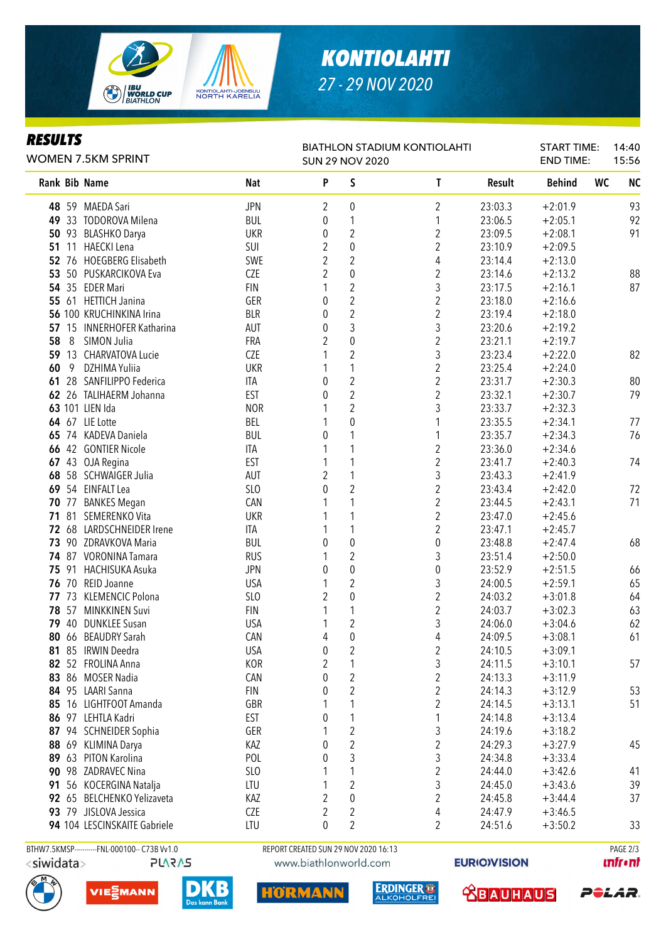

# *KONTIOLAHTI 27 - 29 NOV 2020*

BIATHLON STADIUM KONTIOLAHTI

START TIME: END TIME:

14:40 15:56

SUN 29 NOV 2020

#### *RESULTS*

WOMEN 7.5KM SPRINT

| Rank Bib Name |                                               | <b>Nat</b>      | P | S                                    | T                | <b>Result</b>      | <b>Behind</b>          | <b>WC</b> | <b>NC</b> |
|---------------|-----------------------------------------------|-----------------|---|--------------------------------------|------------------|--------------------|------------------------|-----------|-----------|
|               | 48 59 MAEDA Sari                              | <b>JPN</b>      | 2 | 0                                    | 2                | 23:03.3            | $+2:01.9$              |           | 93        |
|               | 49 33 TODOROVA Milena                         | <b>BUL</b>      | 0 | 1                                    | 1                | 23:06.5            | $+2:05.1$              |           | 92        |
|               | 50 93 BLASHKO Darya                           | <b>UKR</b>      | 0 | $\overline{2}$                       | $\overline{c}$   | 23:09.5            | $+2:08.1$              |           | 91        |
|               | 51 11 HAECKI Lena                             | SUI             | 2 | $\boldsymbol{0}$                     | $\overline{c}$   | 23:10.9            | $+2:09.5$              |           |           |
|               | 52 76 HOEGBERG Elisabeth                      | SWE             | 2 | 2                                    | 4                | 23:14.4            | $+2:13.0$              |           |           |
|               | 53 50 PUSKARCIKOVA Eva                        | <b>CZE</b>      | 2 | $\boldsymbol{0}$                     | 2                | 23:14.6            | $+2:13.2$              |           | 88        |
|               | 54 35 EDER Mari                               | <b>FIN</b>      | 1 | $\overline{c}$                       | 3                | 23:17.5            | $+2:16.1$              |           | 87        |
|               | 55 61 HETTICH Janina                          | GER             | 0 | $\overline{c}$                       | $\overline{c}$   | 23:18.0            | $+2:16.6$              |           |           |
|               | 56 100 KRUCHINKINA Irina                      | <b>BLR</b>      | 0 | $\overline{c}$                       | $\overline{c}$   | 23:19.4            | $+2:18.0$              |           |           |
|               | 57 15 INNERHOFER Katharina                    | AUT             | 0 | 3                                    | 3                | 23:20.6            | $+2:19.2$              |           |           |
| 58<br>8       | SIMON Julia                                   | FRA             | 2 | $\pmb{0}$                            | $\overline{c}$   | 23:21.1            | $+2:19.7$              |           |           |
|               | 59 13 CHARVATOVA Lucie                        | <b>CZE</b>      | 1 | $\overline{2}$                       | 3                | 23:23.4            | $+2:22.0$              |           | 82        |
| 60<br>- 9     | DZHIMA Yuliia                                 | <b>UKR</b>      | 1 | 1                                    | $\overline{2}$   | 23:25.4            | $+2:24.0$              |           |           |
|               | 61 28 SANFILIPPO Federica                     | ITA             | 0 | $\overline{2}$                       | $\overline{c}$   | 23:31.7            | $+2:30.3$              |           | 80        |
|               | 62 26 TALIHAERM Johanna                       | <b>EST</b>      | 0 | $\overline{2}$                       | $\overline{c}$   | 23:32.1            | $+2:30.7$              |           | 79        |
|               | 63 101 LIEN Ida                               | <b>NOR</b>      | 1 | $\overline{2}$                       | 3                | 23:33.7            | $+2:32.3$              |           |           |
|               | 64 67 LIE Lotte                               | BEL             | 1 | $\mathbf 0$                          | 1                | 23:35.5            | $+2:34.1$              |           | 77        |
|               | 65 74 KADEVA Daniela                          | <b>BUL</b>      | 0 | 1                                    | 1                | 23:35.7            | $+2:34.3$              |           | 76        |
|               | 66 42 GONTIER Nicole                          | ITA             | 1 | 1                                    | 2                | 23:36.0            | $+2:34.6$              |           |           |
|               | 67 43 OJA Regina                              | <b>EST</b>      | 1 | 1                                    | $\overline{c}$   | 23:41.7            | $+2:40.3$              |           | 74        |
|               | 68 58 SCHWAIGER Julia                         | <b>AUT</b>      | 2 | 1                                    | 3                | 23:43.3            | $+2:41.9$              |           |           |
|               | 69 54 EINFALT Lea                             | SLO             | 0 | $\overline{c}$                       | $\overline{c}$   | 23:43.4            | $+2:42.0$              |           | 72        |
|               | 70 77 BANKES Megan                            | CAN             | 1 |                                      | $\overline{c}$   | 23:44.5            | $+2:43.1$              |           | 71        |
|               | 71 81 SEMERENKO Vita                          | <b>UKR</b>      |   |                                      | $\overline{c}$   | 23:47.0            | $+2:45.6$              |           |           |
|               | 72 68 LARDSCHNEIDER Irene                     | ITA             | 1 |                                      | $\overline{2}$   | 23:47.1            | $+2:45.7$              |           |           |
|               | 73 90 ZDRAVKOVA Maria                         | <b>BUL</b>      | 0 | $\pmb{0}$                            | $\pmb{0}$        | 23:48.8            | $+2:47.4$              |           | 68        |
|               | 74 87 VORONINA Tamara                         | <b>RUS</b>      | 1 | $\overline{2}$                       | 3                | 23:51.4            | $+2:50.0$              |           |           |
|               | 75 91 HACHISUKA Asuka                         | <b>JPN</b>      | 0 | $\pmb{0}$                            | $\pmb{0}$        | 23:52.9            | $+2:51.5$              |           | 66        |
|               | 76 70 REID Joanne                             | <b>USA</b>      | 1 | 2                                    | 3                | 24:00.5            | $+2:59.1$              |           | 65        |
|               | 77 73 KLEMENCIC Polona                        | SL <sub>O</sub> | 2 | 0                                    | $\overline{2}$   | 24:03.2            | $+3:01.8$              |           | 64        |
|               | 78 57 MINKKINEN Suvi                          | <b>FIN</b>      | 1 | 1                                    | $\overline{c}$   | 24:03.7            | $+3:02.3$              |           | 63        |
|               | 79 40 DUNKLEE Susan                           | <b>USA</b>      | 1 | $\overline{2}$                       | 3                | 24:06.0            | $+3:04.6$              |           | 62        |
|               | 80 66 BEAUDRY Sarah                           | CAN             | 4 | $\boldsymbol{0}$                     | 4                | 24:09.5            | $+3:08.1$              |           | 61        |
|               | 81 85 IRWIN Deedra                            | <b>USA</b>      | 0 | $\overline{2}$                       | 2                | 24:10.5            | $+3:09.1$              |           |           |
|               | 82 52 FROLINA Anna                            | <b>KOR</b>      | 2 | 1                                    | 3                | 24:11.5            | $+3:10.1$              |           | 57        |
|               | 83 86 MOSER Nadia                             | CAN             | 0 | 2                                    | 2                | 24:13.3            | $+3:11.9$              |           |           |
|               | 84 95 LAARI Sanna                             | <b>FIN</b>      | 0 | $\overline{c}$                       | 2                | 24:14.3            | $+3:12.9$              |           | 53        |
|               | 85 16 LIGHTFOOT Amanda                        | GBR             |   |                                      | 2                | 24:14.5            | $+3:13.1$              |           | 51        |
|               | 86 97 LEHTLA Kadri                            | EST             | 0 |                                      |                  | 24:14.8            | $+3:13.4$              |           |           |
|               | 87 94 SCHNEIDER Sophia                        | GER             |   | $\overline{c}$                       | 3                | 24:19.6            | $+3:18.2$              |           |           |
|               | 88 69 KLIMINA Darya                           | KAZ             | 0 | $\sqrt{2}$                           | $\boldsymbol{2}$ | 24:29.3            | $+3:27.9$              |           | 45        |
|               | 89 63 PITON Karolina                          | POL             | 0 | 3                                    | 3                | 24:34.8            | $+3:33.4$              |           |           |
|               | 90 98 ZADRAVEC Nina                           | SL <sub>0</sub> |   |                                      | 2                | 24:44.0            | $+3:42.6$              |           | 41        |
|               | 91 56 KOCERGINA Natalja                       | LTU             |   | 2                                    | 3                | 24:45.0            | $+3:43.6$              |           | 39        |
|               | 92 65 BELCHENKO Yelizaveta                    | KAZ             | 2 | 0                                    | 2                | 24:45.8            | $+3:44.4$              |           | 37        |
|               | 93 79 JISLOVA Jessica                         | <b>CZE</b>      | 2 | 2                                    |                  |                    |                        |           |           |
|               | 94 104 LESCINSKAITE Gabriele                  | LTU             | 0 | 2                                    | 4<br>2           | 24:47.9<br>24:51.6 | $+3:46.5$<br>$+3:50.2$ |           | 33        |
|               |                                               |                 |   |                                      |                  |                    |                        |           |           |
|               | BTHW7.5KMSP-----------FNL-000100-- C73B Vv1.0 |                 |   | REPORT CREATED SUN 29 NOV 2020 16:13 |                  |                    |                        |           | PAGE 2/3  |

- <siwidata>
- **PLARAS**







HORMAN

ERDINGER O



 **<u>CBAUHAUS</u>** 

*<u><u>Infront</u>*</u>

POLAR.